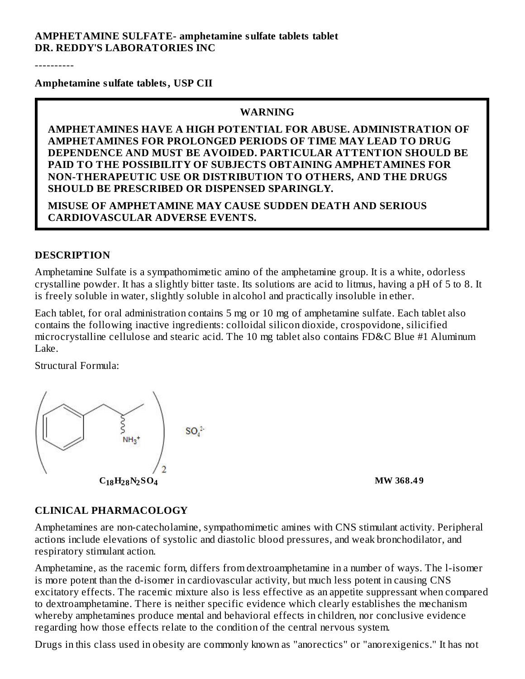#### **AMPHETAMINE SULFATE- amphetamine sulfate tablets tablet DR. REDDY'S LABORATORIES INC**

----------

#### **Amphetamine sulfate tablets, USP CII**

#### **WARNING**

**AMPHETAMINES HAVE A HIGH POTENTIAL FOR ABUSE. ADMINISTRATION OF AMPHETAMINES FOR PROLONGED PERIODS OF TIME MAY LEAD TO DRUG DEPENDENCE AND MUST BE AVOIDED. PARTICULAR ATTENTION SHOULD BE PAID TO THE POSSIBILITY OF SUBJECTS OBTAINING AMPHETAMINES FOR NON-THERAPEUTIC USE OR DISTRIBUTION TO OTHERS, AND THE DRUGS SHOULD BE PRESCRIBED OR DISPENSED SPARINGLY.**

**MISUSE OF AMPHETAMINE MAY CAUSE SUDDEN DEATH AND SERIOUS CARDIOVASCULAR ADVERSE EVENTS.**

#### **DESCRIPTION**

Amphetamine Sulfate is a sympathomimetic amino of the amphetamine group. It is a white, odorless crystalline powder. It has a slightly bitter taste. Its solutions are acid to litmus, having a pH of 5 to 8. It is freely soluble in water, slightly soluble in alcohol and practically insoluble in ether.

Each tablet, for oral administration contains 5 mg or 10 mg of amphetamine sulfate. Each tablet also contains the following inactive ingredients: colloidal silicon dioxide, crospovidone, silicified microcrystalline cellulose and stearic acid. The 10 mg tablet also contains FD&C Blue #1 Aluminum Lake.

Structural Formula:



#### **CLINICAL PHARMACOLOGY**

Amphetamines are non-catecholamine, sympathomimetic amines with CNS stimulant activity. Peripheral actions include elevations of systolic and diastolic blood pressures, and weak bronchodilator, and respiratory stimulant action.

Amphetamine, as the racemic form, differs from dextroamphetamine in a number of ways. The l-isomer is more potent than the d-isomer in cardiovascular activity, but much less potent in causing CNS excitatory effects. The racemic mixture also is less effective as an appetite suppressant when compared to dextroamphetamine. There is neither specific evidence which clearly establishes the mechanism whereby amphetamines produce mental and behavioral effects in children, nor conclusive evidence regarding how those effects relate to the condition of the central nervous system.

Drugs in this class used in obesity are commonly known as "anorectics" or "anorexigenics." It has not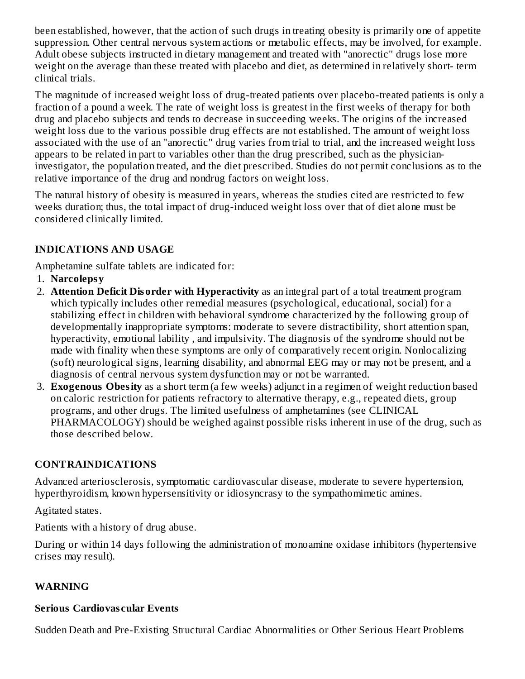been established, however, that the action of such drugs in treating obesity is primarily one of appetite suppression. Other central nervous system actions or metabolic effects, may be involved, for example. Adult obese subjects instructed in dietary management and treated with "anorectic" drugs lose more weight on the average than these treated with placebo and diet, as determined in relatively short- term clinical trials.

The magnitude of increased weight loss of drug-treated patients over placebo-treated patients is only a fraction of a pound a week. The rate of weight loss is greatest in the first weeks of therapy for both drug and placebo subjects and tends to decrease in succeeding weeks. The origins of the increased weight loss due to the various possible drug effects are not established. The amount of weight loss associated with the use of an "anorectic" drug varies from trial to trial, and the increased weight loss appears to be related in part to variables other than the drug prescribed, such as the physicianinvestigator, the population treated, and the diet prescribed. Studies do not permit conclusions as to the relative importance of the drug and nondrug factors on weight loss.

The natural history of obesity is measured in years, whereas the studies cited are restricted to few weeks duration; thus, the total impact of drug-induced weight loss over that of diet alone must be considered clinically limited.

## **INDICATIONS AND USAGE**

Amphetamine sulfate tablets are indicated for:

- 1. **Narcolepsy**
- 2. **Attention Deficit Disorder with Hyperactivity** as an integral part of a total treatment program which typically includes other remedial measures (psychological, educational, social) for a stabilizing effect in children with behavioral syndrome characterized by the following group of developmentally inappropriate symptoms: moderate to severe distractibility, short attention span, hyperactivity, emotional lability , and impulsivity. The diagnosis of the syndrome should not be made with finality when these symptoms are only of comparatively recent origin. Nonlocalizing (soft) neurological signs, learning disability, and abnormal EEG may or may not be present, and a diagnosis of central nervous system dysfunction may or not be warranted.
- 3. **Exogenous Obesity** as a short term (a few weeks) adjunct in a regimen of weight reduction based on caloric restriction for patients refractory to alternative therapy, e.g., repeated diets, group programs, and other drugs. The limited usefulness of amphetamines (see CLINICAL PHARMACOLOGY) should be weighed against possible risks inherent in use of the drug, such as those described below.

## **CONTRAINDICATIONS**

Advanced arteriosclerosis, symptomatic cardiovascular disease, moderate to severe hypertension, hyperthyroidism, known hypersensitivity or idiosyncrasy to the sympathomimetic amines.

Agitated states.

Patients with a history of drug abuse.

During or within 14 days following the administration of monoamine oxidase inhibitors (hypertensive crises may result).

## **WARNING**

#### **Serious Cardiovas cular Events**

Sudden Death and Pre-Existing Structural Cardiac Abnormalities or Other Serious Heart Problems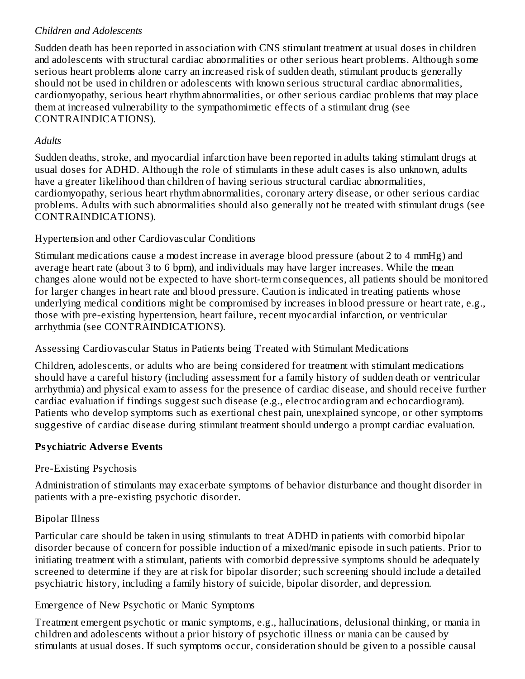## *Children and Adolescents*

Sudden death has been reported in association with CNS stimulant treatment at usual doses in children and adolescents with structural cardiac abnormalities or other serious heart problems. Although some serious heart problems alone carry an increased risk of sudden death, stimulant products generally should not be used in children or adolescents with known serious structural cardiac abnormalities, cardiomyopathy, serious heart rhythm abnormalities, or other serious cardiac problems that may place them at increased vulnerability to the sympathomimetic effects of a stimulant drug (see CONTRAINDICATIONS).

## *Adults*

Sudden deaths, stroke, and myocardial infarction have been reported in adults taking stimulant drugs at usual doses for ADHD. Although the role of stimulants in these adult cases is also unknown, adults have a greater likelihood than children of having serious structural cardiac abnormalities, cardiomyopathy, serious heart rhythm abnormalities, coronary artery disease, or other serious cardiac problems. Adults with such abnormalities should also generally not be treated with stimulant drugs (see CONTRAINDICATIONS).

## Hypertension and other Cardiovascular Conditions

Stimulant medications cause a modest increase in average blood pressure (about 2 to 4 mmHg) and average heart rate (about 3 to 6 bpm), and individuals may have larger increases. While the mean changes alone would not be expected to have short-term consequences, all patients should be monitored for larger changes in heart rate and blood pressure. Caution is indicated in treating patients whose underlying medical conditions might be compromised by increases in blood pressure or heart rate, e.g., those with pre-existing hypertension, heart failure, recent myocardial infarction, or ventricular arrhythmia (see CONTRAINDICATIONS).

## Assessing Cardiovascular Status in Patients being Treated with Stimulant Medications

Children, adolescents, or adults who are being considered for treatment with stimulant medications should have a careful history (including assessment for a family history of sudden death or ventricular arrhythmia) and physical exam to assess for the presence of cardiac disease, and should receive further cardiac evaluation if findings suggest such disease (e.g., electrocardiogram and echocardiogram). Patients who develop symptoms such as exertional chest pain, unexplained syncope, or other symptoms suggestive of cardiac disease during stimulant treatment should undergo a prompt cardiac evaluation.

## **Psychiatric Advers e Events**

## Pre-Existing Psychosis

Administration of stimulants may exacerbate symptoms of behavior disturbance and thought disorder in patients with a pre-existing psychotic disorder.

## Bipolar Illness

Particular care should be taken in using stimulants to treat ADHD in patients with comorbid bipolar disorder because of concern for possible induction of a mixed/manic episode in such patients. Prior to initiating treatment with a stimulant, patients with comorbid depressive symptoms should be adequately screened to determine if they are at risk for bipolar disorder; such screening should include a detailed psychiatric history, including a family history of suicide, bipolar disorder, and depression.

#### Emergence of New Psychotic or Manic Symptoms

Treatment emergent psychotic or manic symptoms, e.g., hallucinations, delusional thinking, or mania in children and adolescents without a prior history of psychotic illness or mania can be caused by stimulants at usual doses. If such symptoms occur, consideration should be given to a possible causal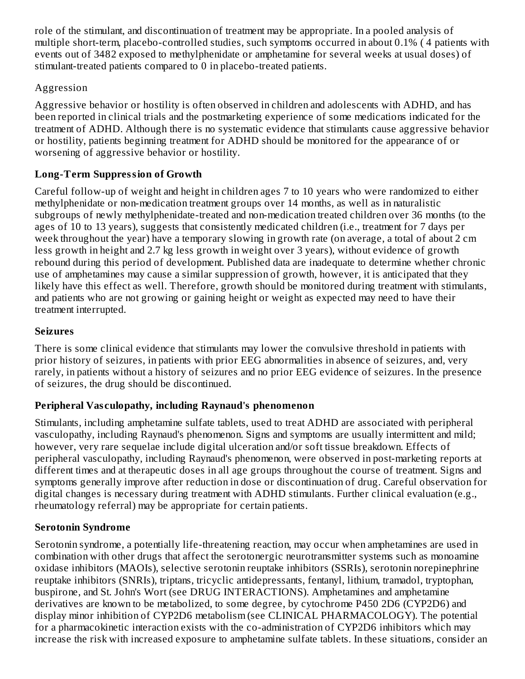role of the stimulant, and discontinuation of treatment may be appropriate. In a pooled analysis of multiple short-term, placebo-controlled studies, such symptoms occurred in about 0.1% ( 4 patients with events out of 3482 exposed to methylphenidate or amphetamine for several weeks at usual doses) of stimulant-treated patients compared to 0 in placebo-treated patients.

## Aggression

Aggressive behavior or hostility is often observed in children and adolescents with ADHD, and has been reported in clinical trials and the postmarketing experience of some medications indicated for the treatment of ADHD. Although there is no systematic evidence that stimulants cause aggressive behavior or hostility, patients beginning treatment for ADHD should be monitored for the appearance of or worsening of aggressive behavior or hostility.

## **Long-Term Suppression of Growth**

Careful follow-up of weight and height in children ages 7 to 10 years who were randomized to either methylphenidate or non-medication treatment groups over 14 months, as well as in naturalistic subgroups of newly methylphenidate-treated and non-medication treated children over 36 months (to the ages of 10 to 13 years), suggests that consistently medicated children (i.e., treatment for 7 days per week throughout the year) have a temporary slowing in growth rate (on average, a total of about 2 cm less growth in height and 2.7 kg less growth in weight over 3 years), without evidence of growth rebound during this period of development. Published data are inadequate to determine whether chronic use of amphetamines may cause a similar suppression of growth, however, it is anticipated that they likely have this effect as well. Therefore, growth should be monitored during treatment with stimulants, and patients who are not growing or gaining height or weight as expected may need to have their treatment interrupted.

## **Seizures**

There is some clinical evidence that stimulants may lower the convulsive threshold in patients with prior history of seizures, in patients with prior EEG abnormalities in absence of seizures, and, very rarely, in patients without a history of seizures and no prior EEG evidence of seizures. In the presence of seizures, the drug should be discontinued.

# **Peripheral Vas culopathy, including Raynaud's phenomenon**

Stimulants, including amphetamine sulfate tablets, used to treat ADHD are associated with peripheral vasculopathy, including Raynaud's phenomenon. Signs and symptoms are usually intermittent and mild; however, very rare sequelae include digital ulceration and/or soft tissue breakdown. Effects of peripheral vasculopathy, including Raynaud's phenomenon, were observed in post-marketing reports at different times and at therapeutic doses in all age groups throughout the course of treatment. Signs and symptoms generally improve after reduction in dose or discontinuation of drug. Careful observation for digital changes is necessary during treatment with ADHD stimulants. Further clinical evaluation (e.g., rheumatology referral) may be appropriate for certain patients.

## **Serotonin Syndrome**

Serotonin syndrome, a potentially life-threatening reaction, may occur when amphetamines are used in combination with other drugs that affect the serotonergic neurotransmitter systems such as monoamine oxidase inhibitors (MAOIs), selective serotonin reuptake inhibitors (SSRIs), serotonin norepinephrine reuptake inhibitors (SNRIs), triptans, tricyclic antidepressants, fentanyl, lithium, tramadol, tryptophan, buspirone, and St. John's Wort (see DRUG INTERACTIONS). Amphetamines and amphetamine derivatives are known to be metabolized, to some degree, by cytochrome P450 2D6 (CYP2D6) and display minor inhibition of CYP2D6 metabolism (see CLINICAL PHARMACOLOGY). The potential for a pharmacokinetic interaction exists with the co-administration of CYP2D6 inhibitors which may increase the risk with increased exposure to amphetamine sulfate tablets. In these situations, consider an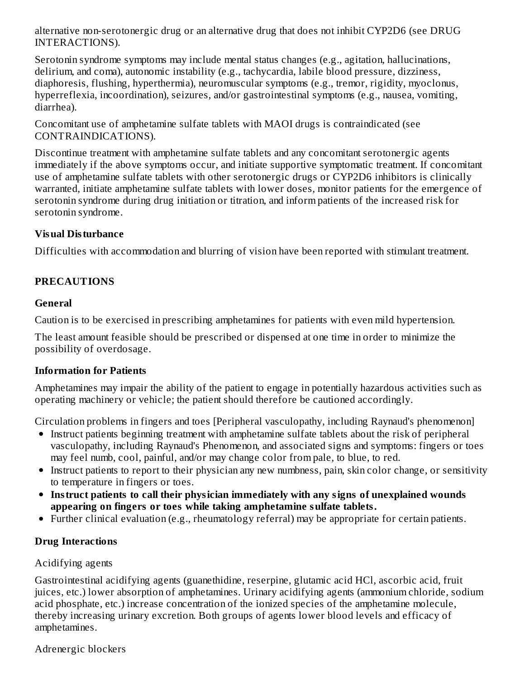alternative non-serotonergic drug or an alternative drug that does not inhibit CYP2D6 (see DRUG INTERACTIONS).

Serotonin syndrome symptoms may include mental status changes (e.g., agitation, hallucinations, delirium, and coma), autonomic instability (e.g., tachycardia, labile blood pressure, dizziness, diaphoresis, flushing, hyperthermia), neuromuscular symptoms (e.g., tremor, rigidity, myoclonus, hyperreflexia, incoordination), seizures, and/or gastrointestinal symptoms (e.g., nausea, vomiting, diarrhea).

Concomitant use of amphetamine sulfate tablets with MAOI drugs is contraindicated (see CONTRAINDICATIONS).

Discontinue treatment with amphetamine sulfate tablets and any concomitant serotonergic agents immediately if the above symptoms occur, and initiate supportive symptomatic treatment. If concomitant use of amphetamine sulfate tablets with other serotonergic drugs or CYP2D6 inhibitors is clinically warranted, initiate amphetamine sulfate tablets with lower doses, monitor patients for the emergence of serotonin syndrome during drug initiation or titration, and inform patients of the increased risk for serotonin syndrome.

## **Visual Disturbance**

Difficulties with accommodation and blurring of vision have been reported with stimulant treatment.

## **PRECAUTIONS**

#### **General**

Caution is to be exercised in prescribing amphetamines for patients with even mild hypertension.

The least amount feasible should be prescribed or dispensed at one time in order to minimize the possibility of overdosage.

#### **Information for Patients**

Amphetamines may impair the ability of the patient to engage in potentially hazardous activities such as operating machinery or vehicle; the patient should therefore be cautioned accordingly.

Circulation problems in fingers and toes [Peripheral vasculopathy, including Raynaud's phenomenon]

- Instruct patients beginning treatment with amphetamine sulfate tablets about the risk of peripheral vasculopathy, including Raynaud's Phenomenon, and associated signs and symptoms: fingers or toes may feel numb, cool, painful, and/or may change color from pale, to blue, to red.
- Instruct patients to report to their physician any new numbness, pain, skin color change, or sensitivity to temperature in fingers or toes.
- **Instruct patients to call their physician immediately with any signs of unexplained wounds appearing on fingers or toes while taking amphetamine sulfate tablets.**
- Further clinical evaluation (e.g., rheumatology referral) may be appropriate for certain patients.

#### **Drug Interactions**

#### Acidifying agents

Gastrointestinal acidifying agents (guanethidine, reserpine, glutamic acid HCl, ascorbic acid, fruit juices, etc.) lower absorption of amphetamines. Urinary acidifying agents (ammonium chloride, sodium acid phosphate, etc.) increase concentration of the ionized species of the amphetamine molecule, thereby increasing urinary excretion. Both groups of agents lower blood levels and efficacy of amphetamines.

Adrenergic blockers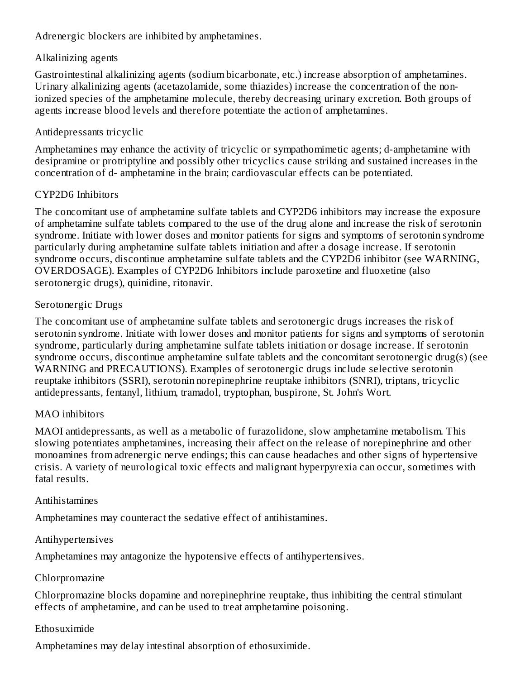Adrenergic blockers are inhibited by amphetamines.

## Alkalinizing agents

Gastrointestinal alkalinizing agents (sodium bicarbonate, etc.) increase absorption of amphetamines. Urinary alkalinizing agents (acetazolamide, some thiazides) increase the concentration of the nonionized species of the amphetamine molecule, thereby decreasing urinary excretion. Both groups of agents increase blood levels and therefore potentiate the action of amphetamines.

## Antidepressants tricyclic

Amphetamines may enhance the activity of tricyclic or sympathomimetic agents; d-amphetamine with desipramine or protriptyline and possibly other tricyclics cause striking and sustained increases in the concentration of d- amphetamine in the brain; cardiovascular effects can be potentiated.

#### CYP2D6 Inhibitors

The concomitant use of amphetamine sulfate tablets and CYP2D6 inhibitors may increase the exposure of amphetamine sulfate tablets compared to the use of the drug alone and increase the risk of serotonin syndrome. Initiate with lower doses and monitor patients for signs and symptoms of serotonin syndrome particularly during amphetamine sulfate tablets initiation and after a dosage increase. If serotonin syndrome occurs, discontinue amphetamine sulfate tablets and the CYP2D6 inhibitor (see WARNING, OVERDOSAGE). Examples of CYP2D6 Inhibitors include paroxetine and fluoxetine (also serotonergic drugs), quinidine, ritonavir.

## Serotonergic Drugs

The concomitant use of amphetamine sulfate tablets and serotonergic drugs increases the risk of serotonin syndrome. Initiate with lower doses and monitor patients for signs and symptoms of serotonin syndrome, particularly during amphetamine sulfate tablets initiation or dosage increase. If serotonin syndrome occurs, discontinue amphetamine sulfate tablets and the concomitant serotonergic drug(s) (see WARNING and PRECAUTIONS). Examples of serotonergic drugs include selective serotonin reuptake inhibitors (SSRI), serotonin norepinephrine reuptake inhibitors (SNRI), triptans, tricyclic antidepressants, fentanyl, lithium, tramadol, tryptophan, buspirone, St. John's Wort.

#### MAO inhibitors

MAOI antidepressants, as well as a metabolic of furazolidone, slow amphetamine metabolism. This slowing potentiates amphetamines, increasing their affect on the release of norepinephrine and other monoamines from adrenergic nerve endings; this can cause headaches and other signs of hypertensive crisis. A variety of neurological toxic effects and malignant hyperpyrexia can occur, sometimes with fatal results.

#### Antihistamines

Amphetamines may counteract the sedative effect of antihistamines.

#### Antihypertensives

Amphetamines may antagonize the hypotensive effects of antihypertensives.

#### Chlorpromazine

Chlorpromazine blocks dopamine and norepinephrine reuptake, thus inhibiting the central stimulant effects of amphetamine, and can be used to treat amphetamine poisoning.

#### Ethosuximide

Amphetamines may delay intestinal absorption of ethosuximide.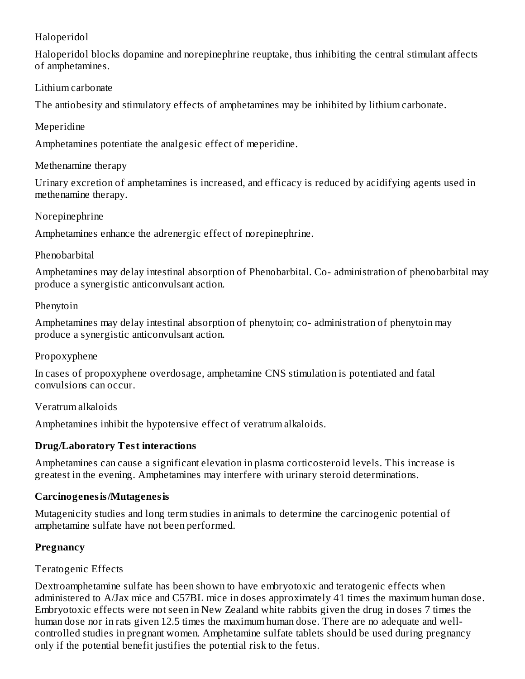## Haloperidol

Haloperidol blocks dopamine and norepinephrine reuptake, thus inhibiting the central stimulant affects of amphetamines.

#### Lithium carbonate

The antiobesity and stimulatory effects of amphetamines may be inhibited by lithium carbonate.

## Meperidine

Amphetamines potentiate the analgesic effect of meperidine.

#### Methenamine therapy

Urinary excretion of amphetamines is increased, and efficacy is reduced by acidifying agents used in methenamine therapy.

#### Norepinephrine

Amphetamines enhance the adrenergic effect of norepinephrine.

## Phenobarbital

Amphetamines may delay intestinal absorption of Phenobarbital. Co- administration of phenobarbital may produce a synergistic anticonvulsant action.

## Phenytoin

Amphetamines may delay intestinal absorption of phenytoin; co- administration of phenytoin may produce a synergistic anticonvulsant action.

#### Propoxyphene

In cases of propoxyphene overdosage, amphetamine CNS stimulation is potentiated and fatal convulsions can occur.

#### Veratrum alkaloids

Amphetamines inhibit the hypotensive effect of veratrum alkaloids.

## **Drug/Laboratory Test interactions**

Amphetamines can cause a significant elevation in plasma corticosteroid levels. This increase is greatest in the evening. Amphetamines may interfere with urinary steroid determinations.

## **Carcinogenesis/Mutagenesis**

Mutagenicity studies and long term studies in animals to determine the carcinogenic potential of amphetamine sulfate have not been performed.

## **Pregnancy**

## Teratogenic Effects

Dextroamphetamine sulfate has been shown to have embryotoxic and teratogenic effects when administered to A/Jax mice and C57BL mice in doses approximately 41 times the maximum human dose. Embryotoxic effects were not seen in New Zealand white rabbits given the drug in doses 7 times the human dose nor in rats given 12.5 times the maximum human dose. There are no adequate and wellcontrolled studies in pregnant women. Amphetamine sulfate tablets should be used during pregnancy only if the potential benefit justifies the potential risk to the fetus.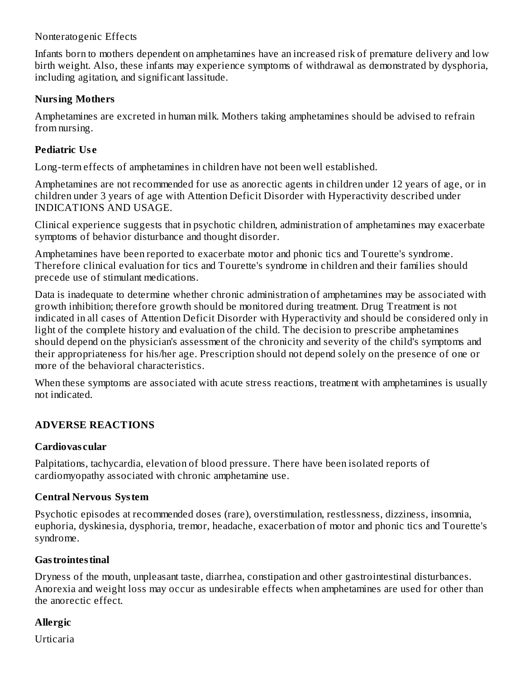Nonteratogenic Effects

Infants born to mothers dependent on amphetamines have an increased risk of premature delivery and low birth weight. Also, these infants may experience symptoms of withdrawal as demonstrated by dysphoria, including agitation, and significant lassitude.

## **Nursing Mothers**

Amphetamines are excreted in human milk. Mothers taking amphetamines should be advised to refrain from nursing.

## **Pediatric Us e**

Long-term effects of amphetamines in children have not been well established.

Amphetamines are not recommended for use as anorectic agents in children under 12 years of age, or in children under 3 years of age with Attention Deficit Disorder with Hyperactivity described under INDICATIONS AND USAGE.

Clinical experience suggests that in psychotic children, administration of amphetamines may exacerbate symptoms of behavior disturbance and thought disorder.

Amphetamines have been reported to exacerbate motor and phonic tics and Tourette's syndrome. Therefore clinical evaluation for tics and Tourette's syndrome in children and their families should precede use of stimulant medications.

Data is inadequate to determine whether chronic administration of amphetamines may be associated with growth inhibition; therefore growth should be monitored during treatment. Drug Treatment is not indicated in all cases of Attention Deficit Disorder with Hyperactivity and should be considered only in light of the complete history and evaluation of the child. The decision to prescribe amphetamines should depend on the physician's assessment of the chronicity and severity of the child's symptoms and their appropriateness for his/her age. Prescription should not depend solely on the presence of one or more of the behavioral characteristics.

When these symptoms are associated with acute stress reactions, treatment with amphetamines is usually not indicated.

# **ADVERSE REACTIONS**

## **Cardiovas cular**

Palpitations, tachycardia, elevation of blood pressure. There have been isolated reports of cardiomyopathy associated with chronic amphetamine use.

# **Central Nervous System**

Psychotic episodes at recommended doses (rare), overstimulation, restlessness, dizziness, insomnia, euphoria, dyskinesia, dysphoria, tremor, headache, exacerbation of motor and phonic tics and Tourette's syndrome.

# **Gastrointestinal**

Dryness of the mouth, unpleasant taste, diarrhea, constipation and other gastrointestinal disturbances. Anorexia and weight loss may occur as undesirable effects when amphetamines are used for other than the anorectic effect.

# **Allergic**

Urticaria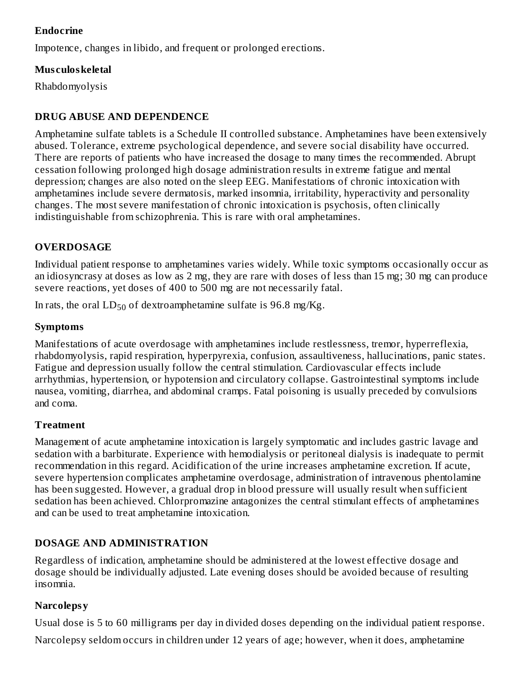## **Endocrine**

Impotence, changes in libido, and frequent or prolonged erections.

#### **Mus culoskeletal**

Rhabdomyolysis

#### **DRUG ABUSE AND DEPENDENCE**

Amphetamine sulfate tablets is a Schedule II controlled substance. Amphetamines have been extensively abused. Tolerance, extreme psychological dependence, and severe social disability have occurred. There are reports of patients who have increased the dosage to many times the recommended. Abrupt cessation following prolonged high dosage administration results in extreme fatigue and mental depression; changes are also noted on the sleep EEG. Manifestations of chronic intoxication with amphetamines include severe dermatosis, marked insomnia, irritability, hyperactivity and personality changes. The most severe manifestation of chronic intoxication is psychosis, often clinically indistinguishable from schizophrenia. This is rare with oral amphetamines.

## **OVERDOSAGE**

Individual patient response to amphetamines varies widely. While toxic symptoms occasionally occur as an idiosyncrasy at doses as low as 2 mg, they are rare with doses of less than 15 mg; 30 mg can produce severe reactions, yet doses of 400 to 500 mg are not necessarily fatal.

In rats, the oral  $LD_{50}$  of dextroamphetamine sulfate is 96.8 mg/Kg.

#### **Symptoms**

Manifestations of acute overdosage with amphetamines include restlessness, tremor, hyperreflexia, rhabdomyolysis, rapid respiration, hyperpyrexia, confusion, assaultiveness, hallucinations, panic states. Fatigue and depression usually follow the central stimulation. Cardiovascular effects include arrhythmias, hypertension, or hypotension and circulatory collapse. Gastrointestinal symptoms include nausea, vomiting, diarrhea, and abdominal cramps. Fatal poisoning is usually preceded by convulsions and coma.

#### **Treatment**

Management of acute amphetamine intoxication is largely symptomatic and includes gastric lavage and sedation with a barbiturate. Experience with hemodialysis or peritoneal dialysis is inadequate to permit recommendation in this regard. Acidification of the urine increases amphetamine excretion. If acute, severe hypertension complicates amphetamine overdosage, administration of intravenous phentolamine has been suggested. However, a gradual drop in blood pressure will usually result when sufficient sedation has been achieved. Chlorpromazine antagonizes the central stimulant effects of amphetamines and can be used to treat amphetamine intoxication.

#### **DOSAGE AND ADMINISTRATION**

Regardless of indication, amphetamine should be administered at the lowest effective dosage and dosage should be individually adjusted. Late evening doses should be avoided because of resulting insomnia.

#### **Narcolepsy**

Usual dose is 5 to 60 milligrams per day in divided doses depending on the individual patient response.

Narcolepsy seldom occurs in children under 12 years of age; however, when it does, amphetamine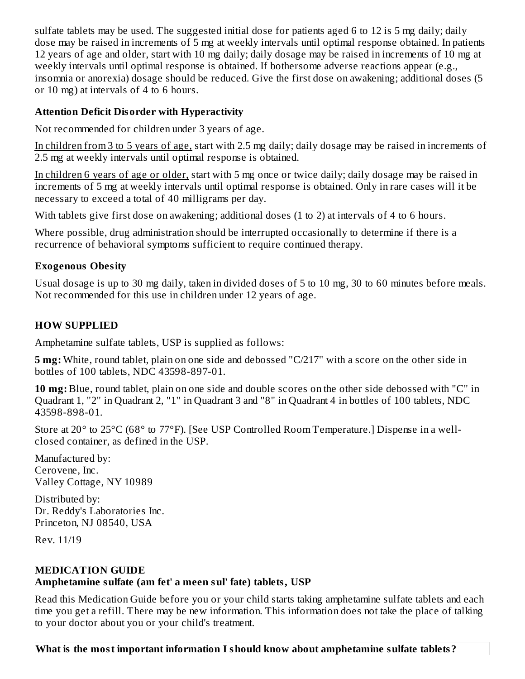sulfate tablets may be used. The suggested initial dose for patients aged 6 to 12 is 5 mg daily; daily dose may be raised in increments of 5 mg at weekly intervals until optimal response obtained. In patients 12 years of age and older, start with 10 mg daily; daily dosage may be raised in increments of 10 mg at weekly intervals until optimal response is obtained. If bothersome adverse reactions appear (e.g., insomnia or anorexia) dosage should be reduced. Give the first dose on awakening; additional doses (5 or 10 mg) at intervals of 4 to 6 hours.

## **Attention Deficit Disorder with Hyperactivity**

Not recommended for children under 3 years of age.

In children from 3 to 5 years of age, start with 2.5 mg daily; daily dosage may be raised in increments of 2.5 mg at weekly intervals until optimal response is obtained.

In children 6 years of age or older, start with 5 mg once or twice daily; daily dosage may be raised in increments of 5 mg at weekly intervals until optimal response is obtained. Only in rare cases will it be necessary to exceed a total of 40 milligrams per day.

With tablets give first dose on awakening; additional doses (1 to 2) at intervals of 4 to 6 hours.

Where possible, drug administration should be interrupted occasionally to determine if there is a recurrence of behavioral symptoms sufficient to require continued therapy.

## **Exogenous Obesity**

Usual dosage is up to 30 mg daily, taken in divided doses of 5 to 10 mg, 30 to 60 minutes before meals. Not recommended for this use in children under 12 years of age.

## **HOW SUPPLIED**

Amphetamine sulfate tablets, USP is supplied as follows:

**5 mg:** White, round tablet, plain on one side and debossed "C/217" with a score on the other side in bottles of 100 tablets, NDC 43598-897-01.

**10 mg:** Blue, round tablet, plain on one side and double scores on the other side debossed with "C" in Quadrant 1, "2" in Quadrant 2, "1" in Quadrant 3 and "8" in Quadrant 4 in bottles of 100 tablets, NDC 43598-898-01.

Store at 20° to 25°C (68° to 77°F). [See USP Controlled Room Temperature.] Dispense in a wellclosed container, as defined in the USP.

Manufactured by: Cerovene, Inc. Valley Cottage, NY 10989

Distributed by: Dr. Reddy's Laboratories Inc. Princeton, NJ 08540, USA

Rev. 11/19

# **MEDICATION GUIDE**

**Amphetamine sulfate (am fet' a meen sul' fate) tablets, USP**

Read this Medication Guide before you or your child starts taking amphetamine sulfate tablets and each time you get a refill. There may be new information. This information does not take the place of talking to your doctor about you or your child's treatment.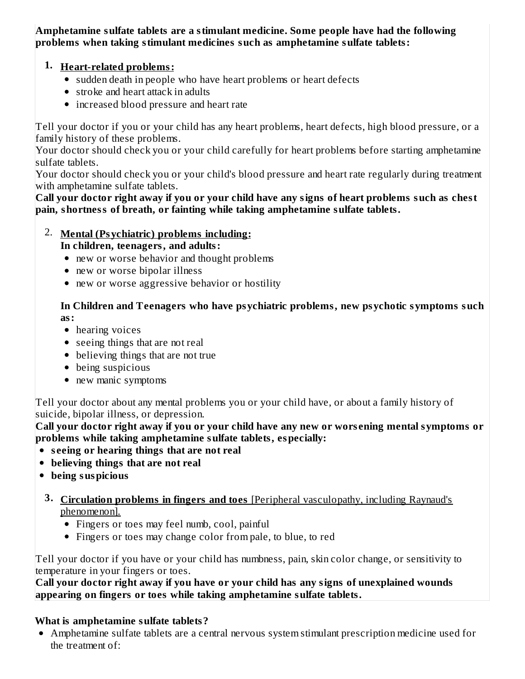**Amphetamine sulfate tablets are a stimulant medicine. Some people have had the following problems when taking stimulant medicines such as amphetamine sulfate tablets:**

## **1. Heart-related problems:**

- sudden death in people who have heart problems or heart defects
- stroke and heart attack in adults
- increased blood pressure and heart rate

Tell your doctor if you or your child has any heart problems, heart defects, high blood pressure, or a family history of these problems.

Your doctor should check you or your child carefully for heart problems before starting amphetamine sulfate tablets.

Your doctor should check you or your child's blood pressure and heart rate regularly during treatment with amphetamine sulfate tablets.

Call your doctor right away if you or your child have any signs of heart problems such as chest **pain, shortness of breath, or fainting while taking amphetamine sulfate tablets.**

#### 2. **Mental (Psychiatric) problems including: In children, teenagers, and adults:**

- new or worse behavior and thought problems
- new or worse bipolar illness
- new or worse aggressive behavior or hostility

**In Children and Teenagers who have psychiatric problems, new psychotic symptoms such as:**

- hearing voices
- seeing things that are not real
- believing things that are not true
- being suspicious
- new manic symptoms

Tell your doctor about any mental problems you or your child have, or about a family history of suicide, bipolar illness, or depression.

Call your doctor right away if you or your child have any new or worsening mental symptoms or **problems while taking amphetamine sulfate tablets, especially:**

- **s eeing or hearing things that are not real**
- **believing things that are not real**
- **being suspicious**
	- **3. Circulation problems in fingers and toes** [Peripheral vasculopathy, including Raynaud's phenomenon].
		- Fingers or toes may feel numb, cool, painful
		- Fingers or toes may change color from pale, to blue, to red

Tell your doctor if you have or your child has numbness, pain, skin color change, or sensitivity to temperature in your fingers or toes.

**Call your doctor right away if you have or your child has any signs of unexplained wounds appearing on fingers or toes while taking amphetamine sulfate tablets.**

## **What is amphetamine sulfate tablets?**

Amphetamine sulfate tablets are a central nervous system stimulant prescription medicine used for the treatment of: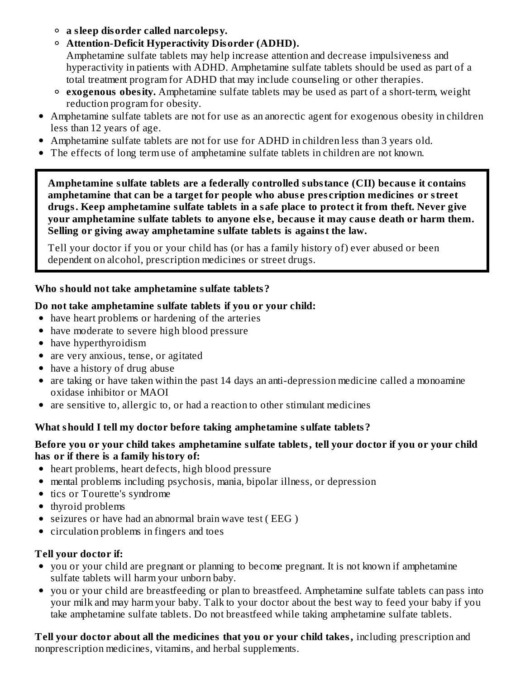- **a sleep disorder called narcolepsy.**
- **Attention-Deficit Hyperactivity Disorder (ADHD).** Amphetamine sulfate tablets may help increase attention and decrease impulsiveness and hyperactivity in patients with ADHD. Amphetamine sulfate tablets should be used as part of a total treatment program for ADHD that may include counseling or other therapies.
- **exogenous obesity.** Amphetamine sulfate tablets may be used as part of a short-term, weight reduction program for obesity.
- Amphetamine sulfate tablets are not for use as an anorectic agent for exogenous obesity in children less than 12 years of age.
- Amphetamine sulfate tablets are not for use for ADHD in children less than 3 years old.
- The effects of long term use of amphetamine sulfate tablets in children are not known.

**Amphetamine sulfate tablets are a federally controlled substance (CII) becaus e it contains amphetamine that can be a target for people who abus e pres cription medicines or street drugs. Keep amphetamine sulfate tablets in a safe place to protect it from theft. Never give your amphetamine sulfate tablets to anyone els e, becaus e it may caus e death or harm them. Selling or giving away amphetamine sulfate tablets is against the law.**

Tell your doctor if you or your child has (or has a family history of) ever abused or been dependent on alcohol, prescription medicines or street drugs.

## **Who should not take amphetamine sulfate tablets?**

## **Do not take amphetamine sulfate tablets if you or your child:**

- have heart problems or hardening of the arteries
- have moderate to severe high blood pressure
- have hyperthyroidism
- are very anxious, tense, or agitated
- have a history of drug abuse
- are taking or have taken within the past 14 days an anti-depression medicine called a monoamine oxidase inhibitor or MAOI
- are sensitive to, allergic to, or had a reaction to other stimulant medicines

# **What should I tell my doctor before taking amphetamine sulfate tablets?**

#### **Before you or your child takes amphetamine sulfate tablets, tell your doctor if you or your child has or if there is a family history of:**

- heart problems, heart defects, high blood pressure
- mental problems including psychosis, mania, bipolar illness, or depression
- tics or Tourette's syndrome
- thyroid problems
- seizures or have had an abnormal brain wave test ( EEG )
- circulation problems in fingers and toes

# **Tell your doctor if:**

- you or your child are pregnant or planning to become pregnant. It is not known if amphetamine sulfate tablets will harm your unborn baby.
- you or your child are breastfeeding or plan to breastfeed. Amphetamine sulfate tablets can pass into  $\bullet$ your milk and may harm your baby. Talk to your doctor about the best way to feed your baby if you take amphetamine sulfate tablets. Do not breastfeed while taking amphetamine sulfate tablets.

**Tell your doctor about all the medicines that you or your child takes,** including prescription and nonprescription medicines, vitamins, and herbal supplements.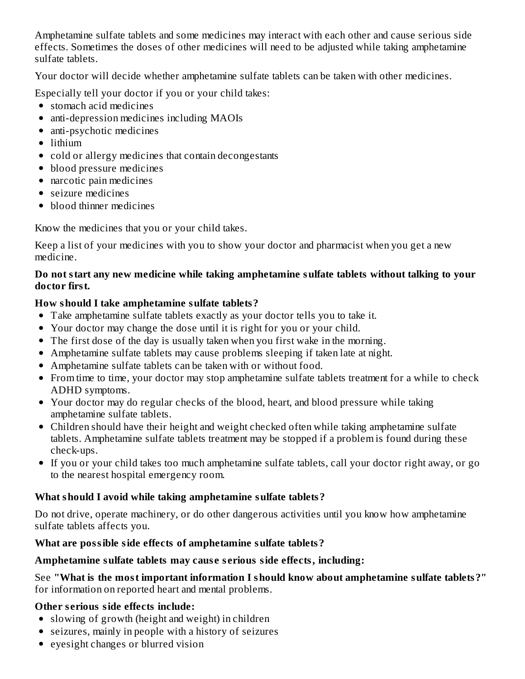Amphetamine sulfate tablets and some medicines may interact with each other and cause serious side effects. Sometimes the doses of other medicines will need to be adjusted while taking amphetamine sulfate tablets.

Your doctor will decide whether amphetamine sulfate tablets can be taken with other medicines.

Especially tell your doctor if you or your child takes:

- stomach acid medicines
- anti-depression medicines including MAOIs
- anti-psychotic medicines
- lithium
- cold or allergy medicines that contain decongestants
- blood pressure medicines
- narcotic pain medicines
- seizure medicines
- blood thinner medicines

Know the medicines that you or your child takes.

Keep a list of your medicines with you to show your doctor and pharmacist when you get a new medicine.

#### **Do not start any new medicine while taking amphetamine sulfate tablets without talking to your doctor first.**

## **How should I take amphetamine sulfate tablets?**

- Take amphetamine sulfate tablets exactly as your doctor tells you to take it.
- Your doctor may change the dose until it is right for you or your child.
- The first dose of the day is usually taken when you first wake in the morning.
- Amphetamine sulfate tablets may cause problems sleeping if taken late at night.
- Amphetamine sulfate tablets can be taken with or without food.
- From time to time, your doctor may stop amphetamine sulfate tablets treatment for a while to check ADHD symptoms.
- Your doctor may do regular checks of the blood, heart, and blood pressure while taking amphetamine sulfate tablets.
- Children should have their height and weight checked often while taking amphetamine sulfate tablets. Amphetamine sulfate tablets treatment may be stopped if a problem is found during these check-ups.
- If you or your child takes too much amphetamine sulfate tablets, call your doctor right away, or go to the nearest hospital emergency room.

## **What should I avoid while taking amphetamine sulfate tablets?**

Do not drive, operate machinery, or do other dangerous activities until you know how amphetamine sulfate tablets affects you.

## **What are possible side effects of amphetamine sulfate tablets?**

## **Amphetamine sulfate tablets may caus e s erious side effects, including:**

#### See **"What is the most important information I should know about amphetamine sulfate tablets?"** for information on reported heart and mental problems.

## **Other s erious side effects include:**

- slowing of growth (height and weight) in children
- seizures, mainly in people with a history of seizures
- eyesight changes or blurred vision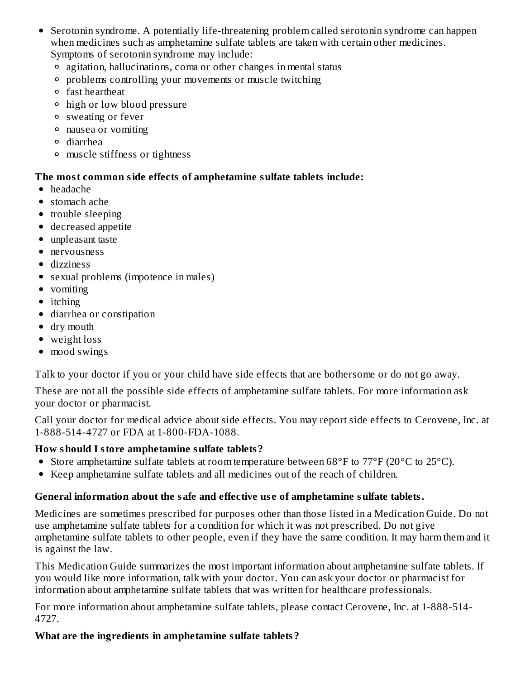- Serotonin syndrome. A potentially life-threatening problem called serotonin syndrome can happen when medicines such as amphetamine sulfate tablets are taken with certain other medicines. Symptoms of serotonin syndrome may include:
	- agitation, hallucinations, coma or other changes in mental status
	- problems controlling your movements or muscle twitching
	- fast heartbeat
	- high or low blood pressure
	- sweating or fever
	- nausea or vomiting
	- diarrhea
	- muscle stiffness or tightness

## **The most common side effects of amphetamine sulfate tablets include:**

- headache
- stomach ache
- trouble sleeping
- decreased appetite
- unpleasant taste
- **•** nervousness
- dizziness
- sexual problems (impotence in males)
- vomiting
- itching
- diarrhea or constipation
- dry mouth
- weight loss
- mood swings

Talk to your doctor if you or your child have side effects that are bothersome or do not go away.

These are not all the possible side effects of amphetamine sulfate tablets. For more information ask your doctor or pharmacist.

Call your doctor for medical advice about side effects. You may report side effects to Cerovene, Inc. at 1-888-514-4727 or FDA at 1-800-FDA-1088.

## **How should I store amphetamine sulfate tablets?**

- Store amphetamine sulfate tablets at room temperature between 68°F to 77°F (20°C to 25°C).
- Keep amphetamine sulfate tablets and all medicines out of the reach of children.

## **General information about the safe and effective us e of amphetamine sulfate tablets.**

Medicines are sometimes prescribed for purposes other than those listed in a Medication Guide. Do not use amphetamine sulfate tablets for a condition for which it was not prescribed. Do not give amphetamine sulfate tablets to other people, even if they have the same condition. It may harm them and it is against the law.

This Medication Guide summarizes the most important information about amphetamine sulfate tablets. If you would like more information, talk with your doctor. You can ask your doctor or pharmacist for information about amphetamine sulfate tablets that was written for healthcare professionals.

For more information about amphetamine sulfate tablets, please contact Cerovene, Inc. at 1-888-514- 4727.

## **What are the ingredients in amphetamine sulfate tablets?**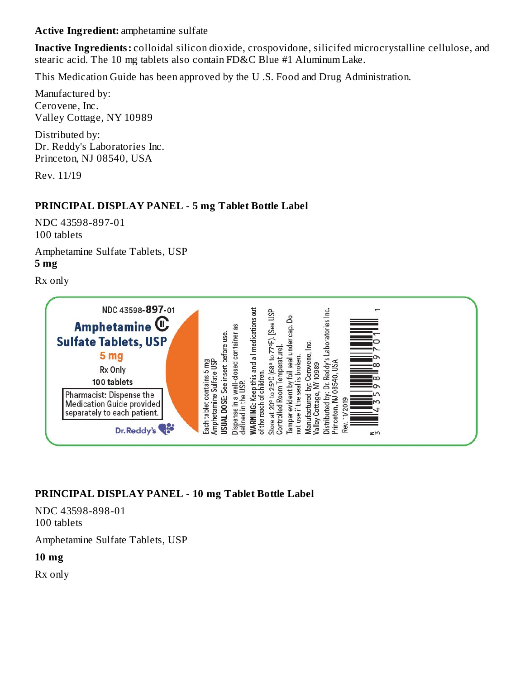#### **Active Ingredient:** amphetamine sulfate

**Inactive Ingredients:** colloidal silicon dioxide, crospovidone, silicifed microcrystalline cellulose, and stearic acid. The 10 mg tablets also contain FD&C Blue #1 Aluminum Lake.

This Medication Guide has been approved by the U .S. Food and Drug Administration.

Manufactured by: Cerovene, Inc. Valley Cottage, NY 10989

Distributed by: Dr. Reddy's Laboratories Inc. Princeton, NJ 08540, USA

Rev. 11/19

## **PRINCIPAL DISPLAY PANEL - 5 mg Tablet Bottle Label**

NDC 43598-897-01 100 tablets

Amphetamine Sulfate Tablets, USP **5 mg**

Rx only



## **PRINCIPAL DISPLAY PANEL - 10 mg Tablet Bottle Label**

NDC 43598-898-01 100 tablets

Amphetamine Sulfate Tablets, USP

**10 mg**

Rx only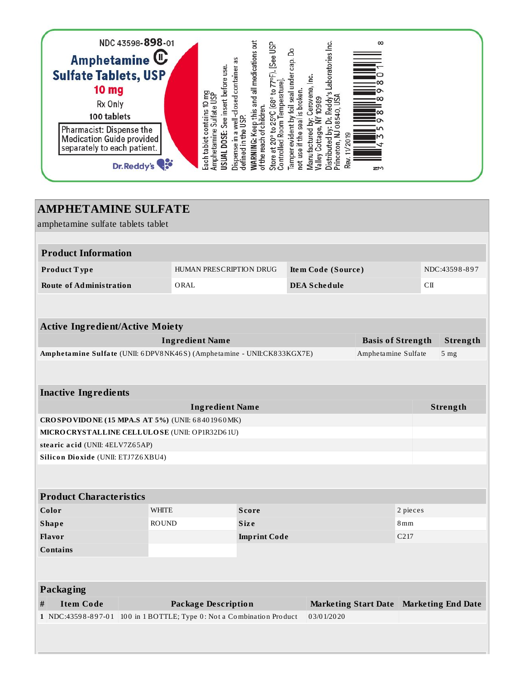| NDC 43598-898-01<br>Amphetamine C<br><b>Sulfate Tablets, USP</b>                     | $\infty$<br>and all medications out<br>Laboratories Inc<br>7°F). [See USP<br>nder cap. Do<br><b>THE READER</b><br>-closed container as<br><u>يٰ</u> |  |
|--------------------------------------------------------------------------------------|-----------------------------------------------------------------------------------------------------------------------------------------------------|--|
| <b>10 mg</b><br>Rx Only                                                              | insert before use<br>erature].<br>$\frac{1}{2}$<br>5<br>ene,<br>eal<br>ntains 10 mg<br>Sulfate USP<br>₻<br>Red                                      |  |
| 100 tablets                                                                          | hildren.<br>8540,<br>this<br>contains<br>ă<br>등<br>Ξ<br>≏                                                                                           |  |
| Pharmacist: Dispense the<br>Medication Guide provided<br>separately to each patient. | Amphetamine<br>ರ<br>tablet<br><sup>2</sup> rinceton<br>Vlanufac<br><b>Jistribu</b><br>Controll<br>Tamper                                            |  |
| Dr. Reddy's                                                                          | WARN<br>USUAL<br>of the<br>velley<br>Store<br>Each<br>t<br>ZM                                                                                       |  |

# **AMPHETAMINE SULFATE** amphetamine sulfate tablets tablet **Product Information Product T ype** HUMAN PRESCRIPTION DRUG **Ite m Code (Source )** NDC:4359 8 -8 9 7 **Route of Administration** ORAL **DEA Sche dule** CII **Active Ingredient/Active Moiety Ingredient Name Basis of Strength Strength Amphetamine Sulfate** (UNII: 6DPV8NK46S) (Amphetamine - UNII:CK833KGX7E) Amphetamine Sulfate 5 mg **Inactive Ingredients Ingredient Name Strength CROSPOVIDONE ( 15 MPA.S AT 5%)** (UNII: 6 8 40 19 6 0MK) **MICROCRYSTALLINE CELLULOSE** (UNII: OP1R32D6 1U) **stea ric a cid** (UNII: 4ELV7Z6 5AP) **Silico n Dio xide** (UNII: ETJ7Z6XBU4) **Product Characteristics Color** WHITE **Score** 2 pieces **Shape ROUND Size B** 8mm **Flavor Imprint Code** C217 **Contains Packaging # Item Code Package Description Marketing Start Date Marketing End Date 1** NDC:4359 8 -8 9 7-0 1 10 0 in 1 BOTTLE; Type 0 : No t a Combinatio n Pro duct 0 3/0 1/20 20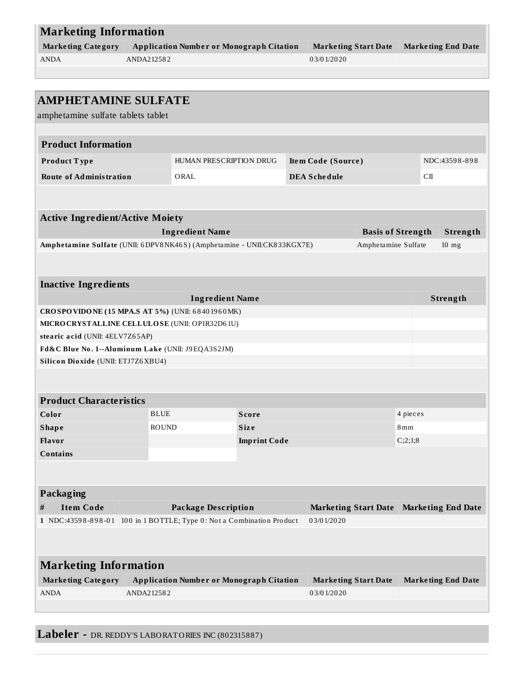| <b>Marketing Information</b>                                                                                                                                                                                                                           |                                                 |                             |                                    |                             |                          |                |                           |
|--------------------------------------------------------------------------------------------------------------------------------------------------------------------------------------------------------------------------------------------------------|-------------------------------------------------|-----------------------------|------------------------------------|-----------------------------|--------------------------|----------------|---------------------------|
| <b>Marketing Category</b>                                                                                                                                                                                                                              | <b>Application Number or Monograph Citation</b> |                             |                                    | <b>Marketing Start Date</b> |                          |                | <b>Marketing End Date</b> |
| <b>ANDA</b>                                                                                                                                                                                                                                            | ANDA212582                                      |                             |                                    | 03/01/2020                  |                          |                |                           |
|                                                                                                                                                                                                                                                        |                                                 |                             |                                    |                             |                          |                |                           |
| <b>AMPHETAMINE SULFATE</b>                                                                                                                                                                                                                             |                                                 |                             |                                    |                             |                          |                |                           |
| amphetamine sulfate tablets tablet                                                                                                                                                                                                                     |                                                 |                             |                                    |                             |                          |                |                           |
|                                                                                                                                                                                                                                                        |                                                 |                             |                                    |                             |                          |                |                           |
| <b>Product Information</b>                                                                                                                                                                                                                             |                                                 |                             |                                    |                             |                          |                |                           |
| Product Type                                                                                                                                                                                                                                           |                                                 | HUMAN PRESCRIPTION DRUG     |                                    | Item Code (Source)          |                          |                | NDC:43598-898             |
|                                                                                                                                                                                                                                                        |                                                 |                             |                                    |                             |                          |                |                           |
| <b>Route of Administration</b>                                                                                                                                                                                                                         |                                                 | ORAL<br><b>DEA Schedule</b> |                                    | CШ                          |                          |                |                           |
|                                                                                                                                                                                                                                                        |                                                 |                             |                                    |                             |                          |                |                           |
|                                                                                                                                                                                                                                                        |                                                 |                             |                                    |                             |                          |                |                           |
|                                                                                                                                                                                                                                                        |                                                 |                             |                                    |                             |                          |                |                           |
|                                                                                                                                                                                                                                                        |                                                 |                             |                                    |                             |                          |                |                           |
|                                                                                                                                                                                                                                                        |                                                 | <b>Ingredient Name</b>      |                                    |                             | <b>Basis of Strength</b> |                | Strength                  |
|                                                                                                                                                                                                                                                        |                                                 |                             |                                    |                             | Amphetamine Sulfate      |                | $10$ mg                   |
|                                                                                                                                                                                                                                                        |                                                 |                             |                                    |                             |                          |                |                           |
|                                                                                                                                                                                                                                                        |                                                 |                             |                                    |                             |                          |                |                           |
|                                                                                                                                                                                                                                                        |                                                 | <b>Ingredient Name</b>      |                                    |                             |                          |                | Strength                  |
|                                                                                                                                                                                                                                                        |                                                 |                             |                                    |                             |                          |                |                           |
|                                                                                                                                                                                                                                                        |                                                 |                             |                                    |                             |                          |                |                           |
|                                                                                                                                                                                                                                                        |                                                 |                             |                                    |                             |                          |                |                           |
| <b>Active Ingredient/Active Moiety</b><br>Amphetamine Sulfate (UNII: 6DPV8NK46S) (Amphetamine - UNII:CK833KGX7E)<br><b>Inactive Ingredients</b><br>CROSPOVIDONE (15 MPA.S AT 5%) (UNII: 68401960MK)<br>MICRO CRYSTALLINE CELLULO SE (UNII: OP1R32D61U) |                                                 |                             |                                    |                             |                          |                |                           |
| stearic acid (UNII: 4ELV7Z65AP)<br>Fd&C Blue No. 1--Aluminum Lake (UNII: J9EQA3S2JM)<br>Silicon Dioxide (UNII: ETJ7Z6XBU4)                                                                                                                             |                                                 |                             |                                    |                             |                          |                |                           |
|                                                                                                                                                                                                                                                        |                                                 |                             |                                    |                             |                          |                |                           |
|                                                                                                                                                                                                                                                        |                                                 |                             |                                    |                             |                          |                |                           |
| <b>Product Characteristics</b>                                                                                                                                                                                                                         |                                                 |                             |                                    |                             |                          |                |                           |
|                                                                                                                                                                                                                                                        | <b>BLUE</b>                                     |                             | <b>Score</b>                       |                             |                          | 4 pieces       |                           |
| Color<br><b>Shape</b><br>Flavor                                                                                                                                                                                                                        | <b>ROUND</b>                                    |                             | <b>Size</b><br><b>Imprint Code</b> |                             |                          | 8mm<br>C;2;1;8 |                           |

| # | Item Code | Package Description                                                   | Marketing Start Date Marketing End Date |  |
|---|-----------|-----------------------------------------------------------------------|-----------------------------------------|--|
|   |           | 1 NDC:43598-898-01 100 in 1 BOTTLE; Type 0: Not a Combination Product | 03/01/2020                              |  |
|   |           |                                                                       |                                         |  |

| <b>Marketing Information</b> |                                                 |                             |                           |  |  |
|------------------------------|-------------------------------------------------|-----------------------------|---------------------------|--|--|
| <b>Marketing Category</b>    | <b>Application Number or Monograph Citation</b> | <b>Marketing Start Date</b> | <b>Marketing End Date</b> |  |  |
| <b>ANDA</b>                  | ANDA212582                                      | 03/01/2020                  |                           |  |  |
|                              |                                                 |                             |                           |  |  |

**Labeler -** DR. REDDY'S LABORAT ORIES INC (802315887)